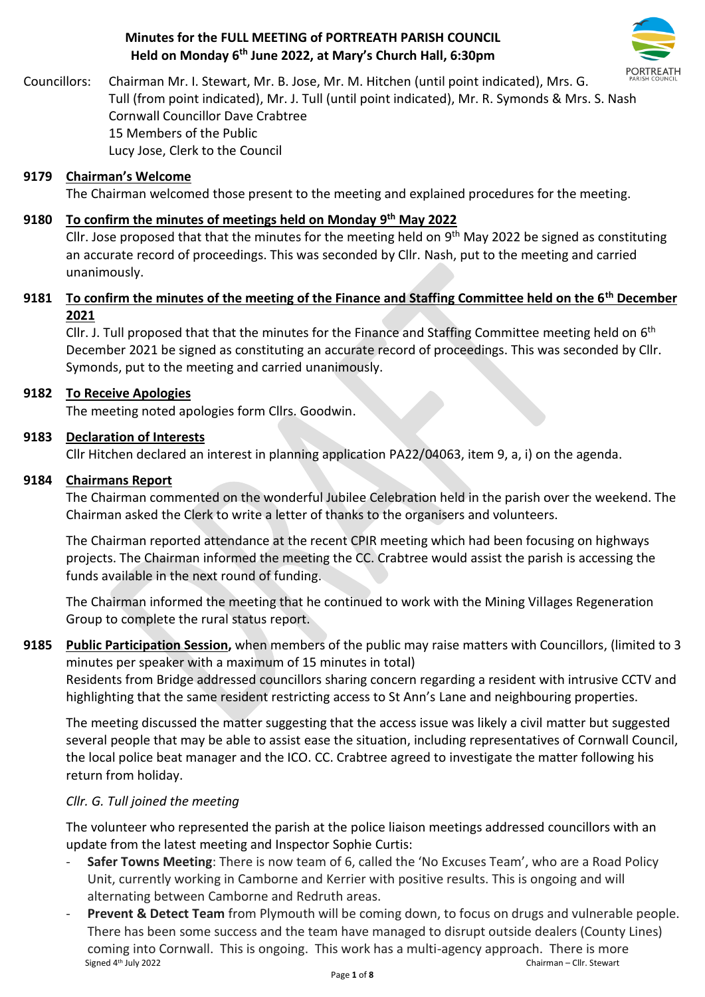## **Minutes for the FULL MEETING of PORTREATH PARISH COUNCIL Held on Monday 6 th June 2022, at Mary's Church Hall, 6:30pm**



Councillors: Chairman Mr. I. Stewart, Mr. B. Jose, Mr. M. Hitchen (until point indicated), Mrs. G. Tull (from point indicated), Mr. J. Tull (until point indicated), Mr. R. Symonds & Mrs. S. Nash Cornwall Councillor Dave Crabtree 15 Members of the Public Lucy Jose, Clerk to the Council

## **9179 Chairman's Welcome**

The Chairman welcomed those present to the meeting and explained procedures for the meeting.

## **9180 To confirm the minutes of meetings held on Monday 9 th May 2022**

Cllr. Jose proposed that that the minutes for the meeting held on  $9<sup>th</sup>$  May 2022 be signed as constituting an accurate record of proceedings. This was seconded by Cllr. Nash, put to the meeting and carried unanimously.

## **9181 To confirm the minutes of the meeting of the Finance and Staffing Committee held on the 6th December 2021**

Cllr. J. Tull proposed that that the minutes for the Finance and Staffing Committee meeting held on 6<sup>th</sup> December 2021 be signed as constituting an accurate record of proceedings. This was seconded by Cllr. Symonds, put to the meeting and carried unanimously.

## **9182 To Receive Apologies**

The meeting noted apologies form Cllrs. Goodwin.

## **9183 Declaration of Interests**

Cllr Hitchen declared an interest in planning application PA22/04063, item 9, a, i) on the agenda.

## **9184 Chairmans Report**

The Chairman commented on the wonderful Jubilee Celebration held in the parish over the weekend. The Chairman asked the Clerk to write a letter of thanks to the organisers and volunteers.

The Chairman reported attendance at the recent CPIR meeting which had been focusing on highways projects. The Chairman informed the meeting the CC. Crabtree would assist the parish is accessing the funds available in the next round of funding.

The Chairman informed the meeting that he continued to work with the Mining Villages Regeneration Group to complete the rural status report.

**9185 Public Participation Session,** when members of the public may raise matters with Councillors, (limited to 3 minutes per speaker with a maximum of 15 minutes in total)

Residents from Bridge addressed councillors sharing concern regarding a resident with intrusive CCTV and highlighting that the same resident restricting access to St Ann's Lane and neighbouring properties.

The meeting discussed the matter suggesting that the access issue was likely a civil matter but suggested several people that may be able to assist ease the situation, including representatives of Cornwall Council, the local police beat manager and the ICO. CC. Crabtree agreed to investigate the matter following his return from holiday.

## *Cllr. G. Tull joined the meeting*

The volunteer who represented the parish at the police liaison meetings addressed councillors with an update from the latest meeting and Inspector Sophie Curtis:

- **Safer Towns Meeting**: There is now team of 6, called the 'No Excuses Team', who are a Road Policy Unit, currently working in Camborne and Kerrier with positive results. This is ongoing and will alternating between Camborne and Redruth areas.
- Signed 4<sup>th</sup> July 2022 Chairman – Cllr. Stewart **Prevent & Detect Team** from Plymouth will be coming down, to focus on drugs and vulnerable people. There has been some success and the team have managed to disrupt outside dealers (County Lines) coming into Cornwall. This is ongoing. This work has a multi-agency approach. There is more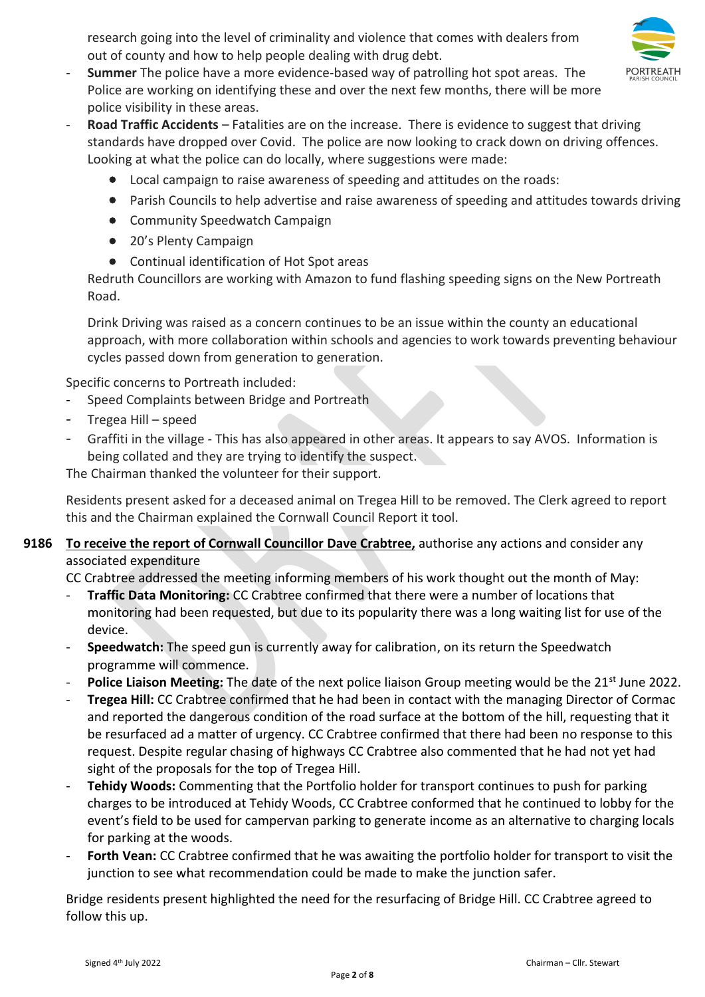research going into the level of criminality and violence that comes with dealers from out of county and how to help people dealing with drug debt.



- **Summer** The police have a more evidence-based way of patrolling hot spot areas. The Police are working on identifying these and over the next few months, there will be more police visibility in these areas.
- **Road Traffic Accidents** Fatalities are on the increase. There is evidence to suggest that driving standards have dropped over Covid. The police are now looking to crack down on driving offences. Looking at what the police can do locally, where suggestions were made:
	- Local campaign to raise awareness of speeding and attitudes on the roads:
	- Parish Councils to help advertise and raise awareness of speeding and attitudes towards driving
	- Community Speedwatch Campaign
	- 20's Plenty Campaign
	- Continual identification of Hot Spot areas

Redruth Councillors are working with Amazon to fund flashing speeding signs on the New Portreath Road.

Drink Driving was raised as a concern continues to be an issue within the county an educational approach, with more collaboration within schools and agencies to work towards preventing behaviour cycles passed down from generation to generation.

Specific concerns to Portreath included:

- Speed Complaints between Bridge and Portreath
- Tregea Hill speed
- Graffiti in the village This has also appeared in other areas. It appears to say AVOS. Information is being collated and they are trying to identify the suspect.

The Chairman thanked the volunteer for their support.

Residents present asked for a deceased animal on Tregea Hill to be removed. The Clerk agreed to report this and the Chairman explained the Cornwall Council Report it tool.

# **9186 To receive the report of Cornwall Councillor Dave Crabtree,** authorise any actions and consider any associated expenditure

CC Crabtree addressed the meeting informing members of his work thought out the month of May:

- **Traffic Data Monitoring:** CC Crabtree confirmed that there were a number of locations that monitoring had been requested, but due to its popularity there was a long waiting list for use of the device.
- **Speedwatch:** The speed gun is currently away for calibration, on its return the Speedwatch programme will commence.
- **Police Liaison Meeting:** The date of the next police liaison Group meeting would be the 21<sup>st</sup> June 2022.
- **Tregea Hill:** CC Crabtree confirmed that he had been in contact with the managing Director of Cormac and reported the dangerous condition of the road surface at the bottom of the hill, requesting that it be resurfaced ad a matter of urgency. CC Crabtree confirmed that there had been no response to this request. Despite regular chasing of highways CC Crabtree also commented that he had not yet had sight of the proposals for the top of Tregea Hill.
- **Tehidy Woods:** Commenting that the Portfolio holder for transport continues to push for parking charges to be introduced at Tehidy Woods, CC Crabtree conformed that he continued to lobby for the event's field to be used for campervan parking to generate income as an alternative to charging locals for parking at the woods.
- Forth Vean: CC Crabtree confirmed that he was awaiting the portfolio holder for transport to visit the junction to see what recommendation could be made to make the junction safer.

Bridge residents present highlighted the need for the resurfacing of Bridge Hill. CC Crabtree agreed to follow this up.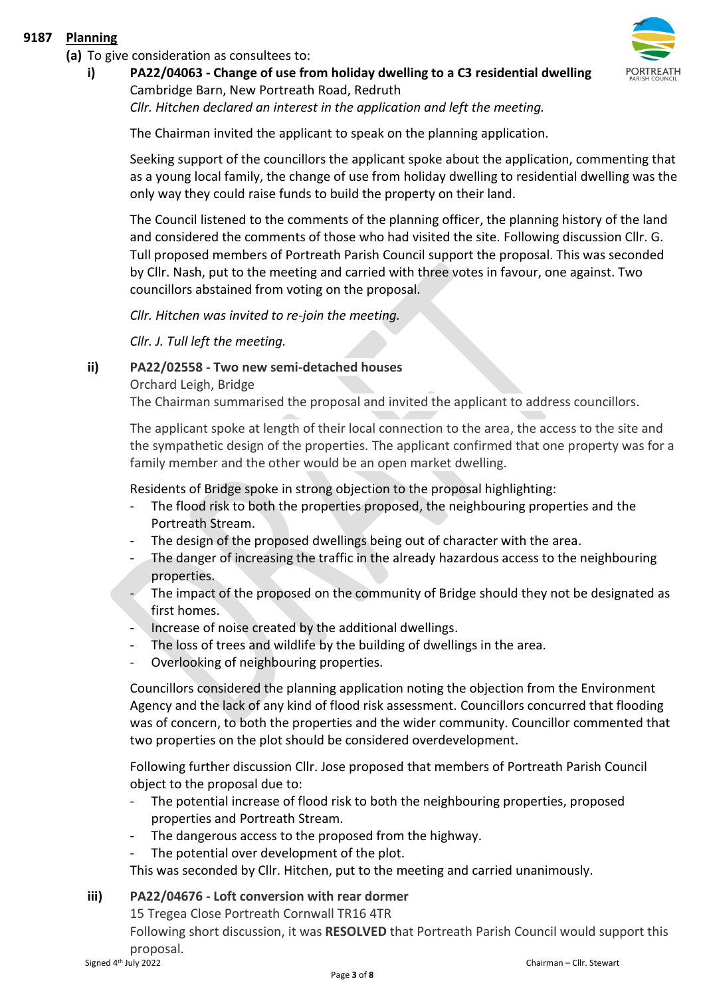## **9187 Planning**

**(a)** To give consideration as consultees to:

**i) PA22/04063 - Change of use from holiday dwelling to a C3 residential dwelling** Cambridge Barn, New Portreath Road, Redruth

*Cllr. Hitchen declared an interest in the application and left the meeting.* 

The Chairman invited the applicant to speak on the planning application.

Seeking support of the councillors the applicant spoke about the application, commenting that as a young local family, the change of use from holiday dwelling to residential dwelling was the only way they could raise funds to build the property on their land.

The Council listened to the comments of the planning officer, the planning history of the land and considered the comments of those who had visited the site. Following discussion Cllr. G. Tull proposed members of Portreath Parish Council support the proposal. This was seconded by Cllr. Nash, put to the meeting and carried with three votes in favour, one against. Two councillors abstained from voting on the proposal.

*Cllr. Hitchen was invited to re-join the meeting.* 

*Cllr. J. Tull left the meeting.* 

# **ii) PA22/02558 - Two new semi-detached houses**

Orchard Leigh, Bridge

The Chairman summarised the proposal and invited the applicant to address councillors.

The applicant spoke at length of their local connection to the area, the access to the site and the sympathetic design of the properties. The applicant confirmed that one property was for a family member and the other would be an open market dwelling.

Residents of Bridge spoke in strong objection to the proposal highlighting:

- The flood risk to both the properties proposed, the neighbouring properties and the Portreath Stream.
- The design of the proposed dwellings being out of character with the area.
- The danger of increasing the traffic in the already hazardous access to the neighbouring properties.
- The impact of the proposed on the community of Bridge should they not be designated as first homes.
- Increase of noise created by the additional dwellings.
- The loss of trees and wildlife by the building of dwellings in the area.
- Overlooking of neighbouring properties.

Councillors considered the planning application noting the objection from the Environment Agency and the lack of any kind of flood risk assessment. Councillors concurred that flooding was of concern, to both the properties and the wider community. Councillor commented that two properties on the plot should be considered overdevelopment.

Following further discussion Cllr. Jose proposed that members of Portreath Parish Council object to the proposal due to:

- The potential increase of flood risk to both the neighbouring properties, proposed properties and Portreath Stream.
- The dangerous access to the proposed from the highway.
- The potential over development of the plot.

This was seconded by Cllr. Hitchen, put to the meeting and carried unanimously.

# **iii) PA22/04676 - Loft conversion with rear dormer**

15 Tregea Close Portreath Cornwall TR16 4TR

Following short discussion, it was **RESOLVED** that Portreath Parish Council would support this proposal.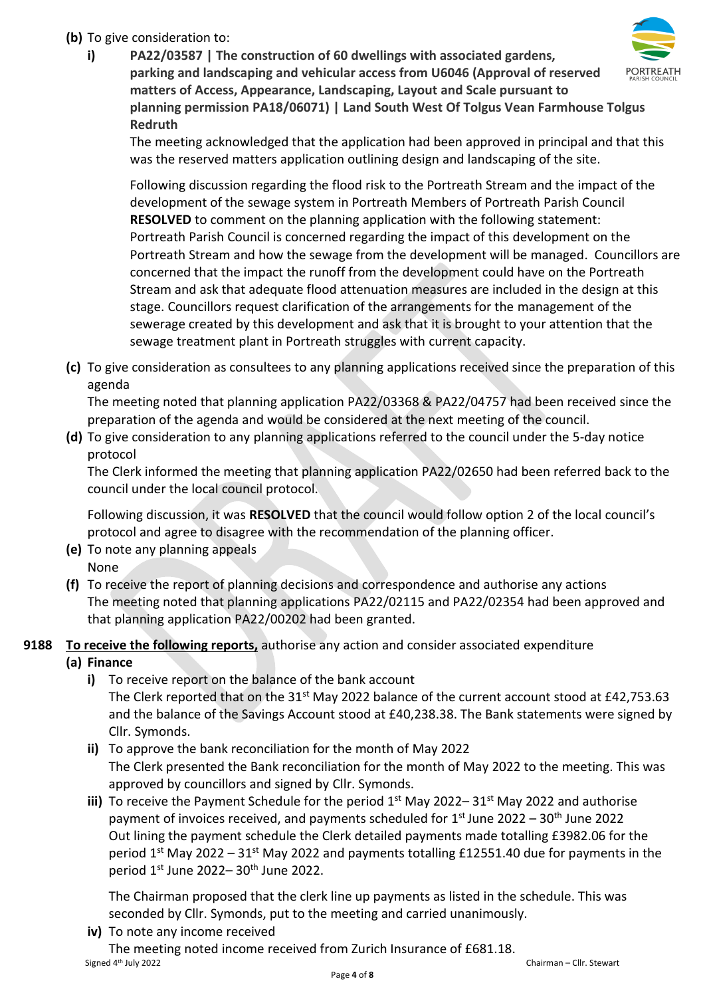# **(b)** To give consideration to:

**i) PA22/03587 | The construction of 60 dwellings with associated gardens, parking and landscaping and vehicular access from U6046 (Approval of reserved matters of Access, Appearance, Landscaping, Layout and Scale pursuant to planning permission PA18/06071) | Land South West Of Tolgus Vean Farmhouse Tolgus Redruth**

The meeting acknowledged that the application had been approved in principal and that this was the reserved matters application outlining design and landscaping of the site.

Following discussion regarding the flood risk to the Portreath Stream and the impact of the development of the sewage system in Portreath Members of Portreath Parish Council **RESOLVED** to comment on the planning application with the following statement: Portreath Parish Council is concerned regarding the impact of this development on the Portreath Stream and how the sewage from the development will be managed. Councillors are concerned that the impact the runoff from the development could have on the Portreath Stream and ask that adequate flood attenuation measures are included in the design at this stage. Councillors request clarification of the arrangements for the management of the sewerage created by this development and ask that it is brought to your attention that the sewage treatment plant in Portreath struggles with current capacity.

**(c)** To give consideration as consultees to any planning applications received since the preparation of this agenda

The meeting noted that planning application PA22/03368 & PA22/04757 had been received since the preparation of the agenda and would be considered at the next meeting of the council.

**(d)** To give consideration to any planning applications referred to the council under the 5-day notice protocol

The Clerk informed the meeting that planning application PA22/02650 had been referred back to the council under the local council protocol.

Following discussion, it was **RESOLVED** that the council would follow option 2 of the local council's protocol and agree to disagree with the recommendation of the planning officer.

- **(e)** To note any planning appeals None
- **(f)** To receive the report of planning decisions and correspondence and authorise any actions The meeting noted that planning applications PA22/02115 and PA22/02354 had been approved and that planning application PA22/00202 had been granted.
- **9188 To receive the following reports,** authorise any action and consider associated expenditure
	- **(a) Finance** 
		- **i)** To receive report on the balance of the bank account The Clerk reported that on the  $31^{st}$  May 2022 balance of the current account stood at £42,753.63 and the balance of the Savings Account stood at £40,238.38. The Bank statements were signed by Cllr. Symonds.
		- **ii)** To approve the bank reconciliation for the month of May 2022 The Clerk presented the Bank reconciliation for the month of May 2022 to the meeting. This was approved by councillors and signed by Cllr. Symonds.
		- iii) To receive the Payment Schedule for the period 1<sup>st</sup> May 2022–31<sup>st</sup> May 2022 and authorise payment of invoices received, and payments scheduled for 1<sup>st</sup> June 2022 – 30<sup>th</sup> June 2022 Out lining the payment schedule the Clerk detailed payments made totalling £3982.06 for the period  $1<sup>st</sup>$  May 2022 – 31<sup>st</sup> May 2022 and payments totalling £12551.40 due for payments in the period  $1<sup>st</sup>$  June 2022– 30<sup>th</sup> June 2022.

The Chairman proposed that the clerk line up payments as listed in the schedule. This was seconded by Cllr. Symonds, put to the meeting and carried unanimously.

**iv)** To note any income received

Signed 4<sup>th</sup> July 2022 The meeting noted income received from Zurich Insurance of £681.18.

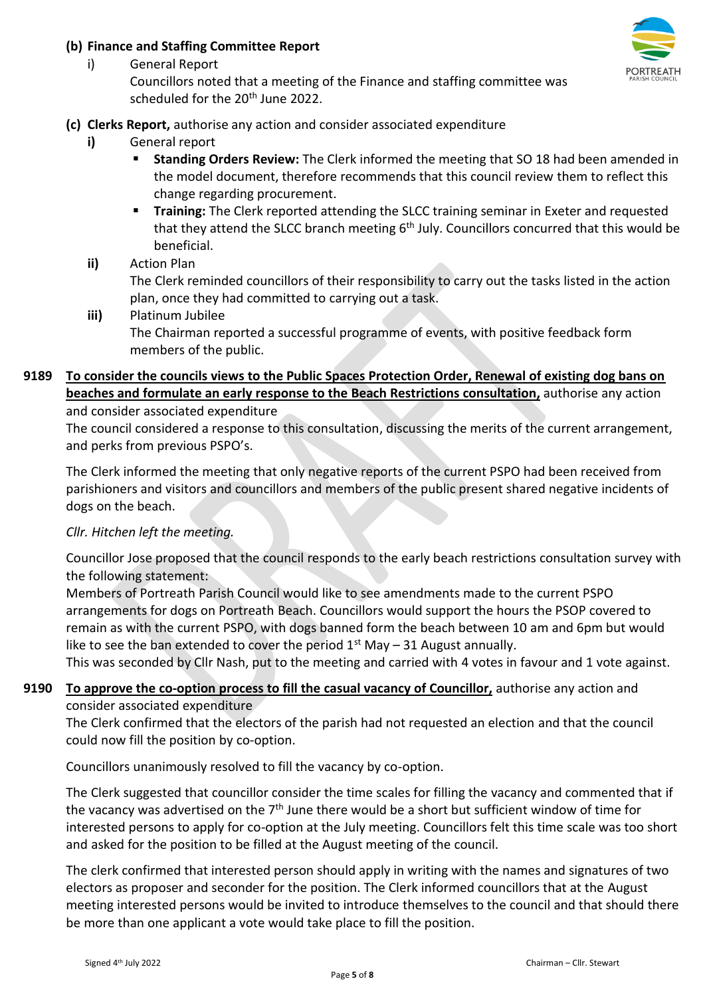## **(b) Finance and Staffing Committee Report**



Councillors noted that a meeting of the Finance and staffing committee was scheduled for the 20<sup>th</sup> June 2022.

# **(c) Clerks Report,** authorise any action and consider associated expenditure

**i)** General report

i) General Report

- **Standing Orders Review:** The Clerk informed the meeting that SO 18 had been amended in the model document, therefore recommends that this council review them to reflect this change regarding procurement.
- **Training:** The Clerk reported attending the SLCC training seminar in Exeter and requested that they attend the SLCC branch meeting 6<sup>th</sup> July. Councillors concurred that this would be beneficial.
- **ii)** Action Plan

The Clerk reminded councillors of their responsibility to carry out the tasks listed in the action plan, once they had committed to carrying out a task.

**iii)** Platinum Jubilee The Chairman reported a successful programme of events, with positive feedback form members of the public.

#### **9189 To consider the councils views to the Public Spaces Protection Order, Renewal of existing dog bans on beaches and formulate an early response to the Beach Restrictions consultation,** authorise any action and consider associated expenditure

The council considered a response to this consultation, discussing the merits of the current arrangement, and perks from previous PSPO's.

The Clerk informed the meeting that only negative reports of the current PSPO had been received from parishioners and visitors and councillors and members of the public present shared negative incidents of dogs on the beach.

# *Cllr. Hitchen left the meeting.*

Councillor Jose proposed that the council responds to the early beach restrictions consultation survey with the following statement:

Members of Portreath Parish Council would like to see amendments made to the current PSPO arrangements for dogs on Portreath Beach. Councillors would support the hours the PSOP covered to remain as with the current PSPO, with dogs banned form the beach between 10 am and 6pm but would like to see the ban extended to cover the period  $1<sup>st</sup>$  May – 31 August annually.

This was seconded by Cllr Nash, put to the meeting and carried with 4 votes in favour and 1 vote against.

# **9190 To approve the co-option process to fill the casual vacancy of Councillor,** authorise any action and consider associated expenditure

The Clerk confirmed that the electors of the parish had not requested an election and that the council could now fill the position by co-option.

Councillors unanimously resolved to fill the vacancy by co-option.

The Clerk suggested that councillor consider the time scales for filling the vacancy and commented that if the vacancy was advertised on the 7<sup>th</sup> June there would be a short but sufficient window of time for interested persons to apply for co-option at the July meeting. Councillors felt this time scale was too short and asked for the position to be filled at the August meeting of the council.

The clerk confirmed that interested person should apply in writing with the names and signatures of two electors as proposer and seconder for the position. The Clerk informed councillors that at the August meeting interested persons would be invited to introduce themselves to the council and that should there be more than one applicant a vote would take place to fill the position.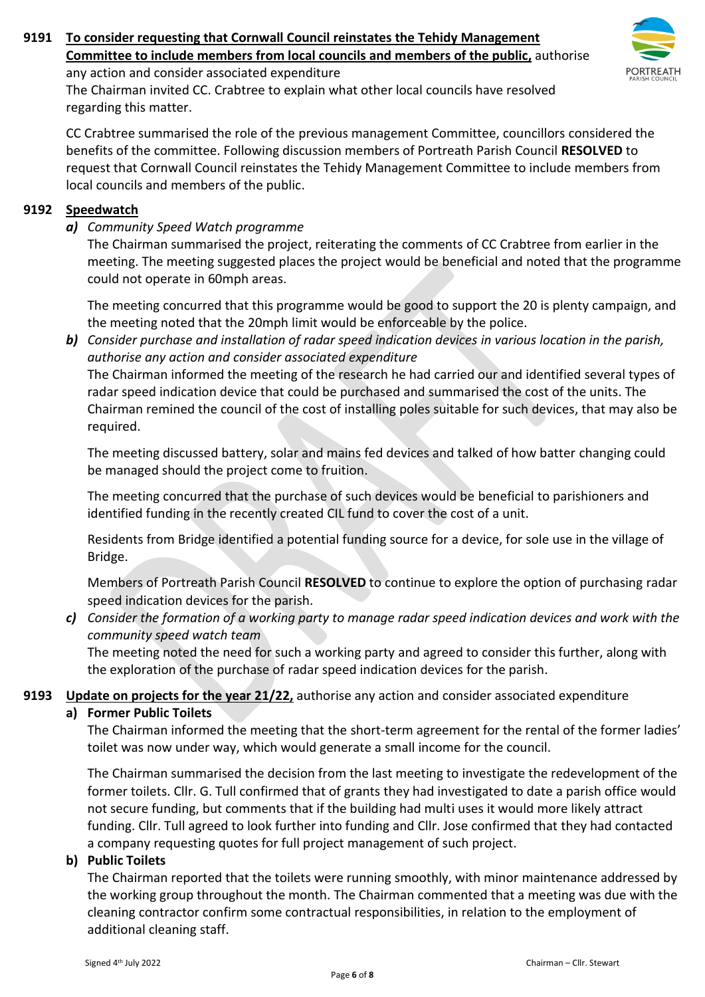# **9191 To consider requesting that Cornwall Council reinstates the Tehidy Management Committee to include members from local councils and members of the public,** authorise



any action and consider associated expenditure

The Chairman invited CC. Crabtree to explain what other local councils have resolved regarding this matter.

CC Crabtree summarised the role of the previous management Committee, councillors considered the benefits of the committee. Following discussion members of Portreath Parish Council **RESOLVED** to request that Cornwall Council reinstates the Tehidy Management Committee to include members from local councils and members of the public.

## **9192 Speedwatch**

*a) Community Speed Watch programme* 

The Chairman summarised the project, reiterating the comments of CC Crabtree from earlier in the meeting. The meeting suggested places the project would be beneficial and noted that the programme could not operate in 60mph areas.

The meeting concurred that this programme would be good to support the 20 is plenty campaign, and the meeting noted that the 20mph limit would be enforceable by the police.

*b) Consider purchase and installation of radar speed indication devices in various location in the parish, authorise any action and consider associated expenditure* 

The Chairman informed the meeting of the research he had carried our and identified several types of radar speed indication device that could be purchased and summarised the cost of the units. The Chairman remined the council of the cost of installing poles suitable for such devices, that may also be required.

The meeting discussed battery, solar and mains fed devices and talked of how batter changing could be managed should the project come to fruition.

The meeting concurred that the purchase of such devices would be beneficial to parishioners and identified funding in the recently created CIL fund to cover the cost of a unit.

Residents from Bridge identified a potential funding source for a device, for sole use in the village of Bridge.

Members of Portreath Parish Council **RESOLVED** to continue to explore the option of purchasing radar speed indication devices for the parish.

# *c) Consider the formation of a working party to manage radar speed indication devices and work with the community speed watch team*

The meeting noted the need for such a working party and agreed to consider this further, along with the exploration of the purchase of radar speed indication devices for the parish.

## **9193 Update on projects for the year 21/22,** authorise any action and consider associated expenditure

## **a) Former Public Toilets**

The Chairman informed the meeting that the short-term agreement for the rental of the former ladies' toilet was now under way, which would generate a small income for the council.

The Chairman summarised the decision from the last meeting to investigate the redevelopment of the former toilets. Cllr. G. Tull confirmed that of grants they had investigated to date a parish office would not secure funding, but comments that if the building had multi uses it would more likely attract funding. Cllr. Tull agreed to look further into funding and Cllr. Jose confirmed that they had contacted a company requesting quotes for full project management of such project.

## **b) Public Toilets**

The Chairman reported that the toilets were running smoothly, with minor maintenance addressed by the working group throughout the month. The Chairman commented that a meeting was due with the cleaning contractor confirm some contractual responsibilities, in relation to the employment of additional cleaning staff.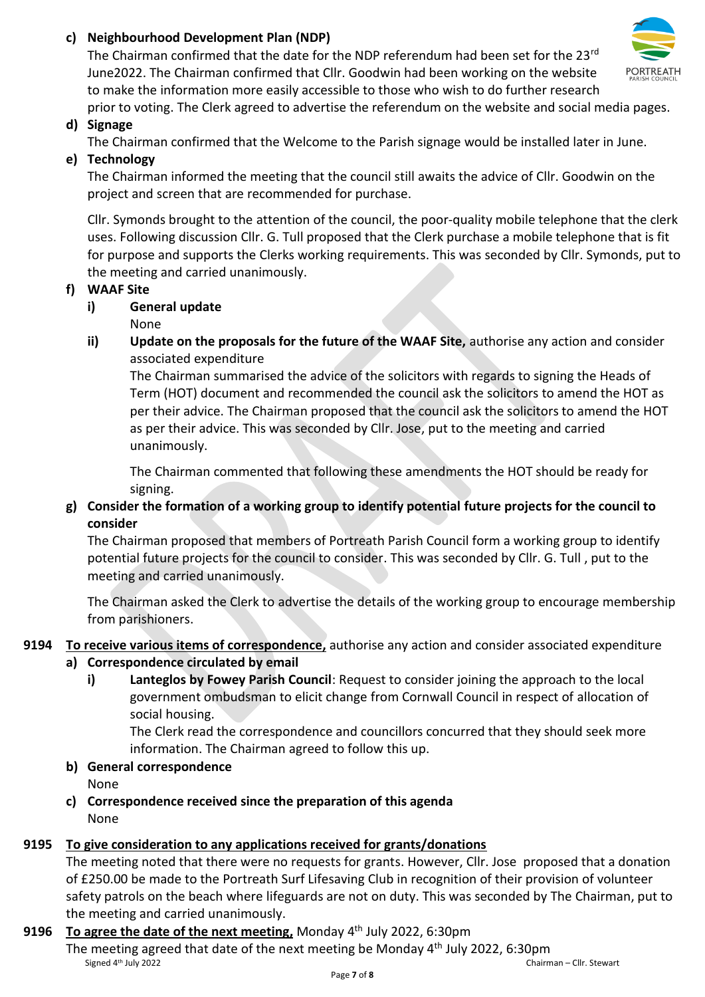# **c) Neighbourhood Development Plan (NDP)**

The Chairman confirmed that the date for the NDP referendum had been set for the 23rd June2022. The Chairman confirmed that Cllr. Goodwin had been working on the website to make the information more easily accessible to those who wish to do further research prior to voting. The Clerk agreed to advertise the referendum on the website and social media pages.



# **d) Signage**

The Chairman confirmed that the Welcome to the Parish signage would be installed later in June.

# **e) Technology**

The Chairman informed the meeting that the council still awaits the advice of Cllr. Goodwin on the project and screen that are recommended for purchase.

Cllr. Symonds brought to the attention of the council, the poor-quality mobile telephone that the clerk uses. Following discussion Cllr. G. Tull proposed that the Clerk purchase a mobile telephone that is fit for purpose and supports the Clerks working requirements. This was seconded by Cllr. Symonds, put to the meeting and carried unanimously.

# **f) WAAF Site**

# **i) General update**

None

**ii) Update on the proposals for the future of the WAAF Site,** authorise any action and consider associated expenditure

The Chairman summarised the advice of the solicitors with regards to signing the Heads of Term (HOT) document and recommended the council ask the solicitors to amend the HOT as per their advice. The Chairman proposed that the council ask the solicitors to amend the HOT as per their advice. This was seconded by Cllr. Jose, put to the meeting and carried unanimously.

The Chairman commented that following these amendments the HOT should be ready for signing.

# **g) Consider the formation of a working group to identify potential future projects for the council to consider**

The Chairman proposed that members of Portreath Parish Council form a working group to identify potential future projects for the council to consider. This was seconded by Cllr. G. Tull , put to the meeting and carried unanimously.

The Chairman asked the Clerk to advertise the details of the working group to encourage membership from parishioners.

# **9194 To receive various items of correspondence,** authorise any action and consider associated expenditure

# **a) Correspondence circulated by email**

**i) Lanteglos by Fowey Parish Council**: Request to consider joining the approach to the local government ombudsman to elicit change from Cornwall Council in respect of allocation of social housing.

The Clerk read the correspondence and councillors concurred that they should seek more information. The Chairman agreed to follow this up.

**b) General correspondence** 

None

**c) Correspondence received since the preparation of this agenda**  None

# **9195 To give consideration to any applications received for grants/donations**

The meeting noted that there were no requests for grants. However, Cllr. Jose proposed that a donation of £250.00 be made to the Portreath Surf Lifesaving Club in recognition of their provision of volunteer safety patrols on the beach where lifeguards are not on duty. This was seconded by The Chairman, put to the meeting and carried unanimously.

# **9196** To agree the date of the next meeting, Monday 4<sup>th</sup> July 2022, 6:30pm

Signed 4<sup>th</sup> July 2022 The meeting agreed that date of the next meeting be Monday  $4<sup>th</sup>$  July 2022, 6:30pm